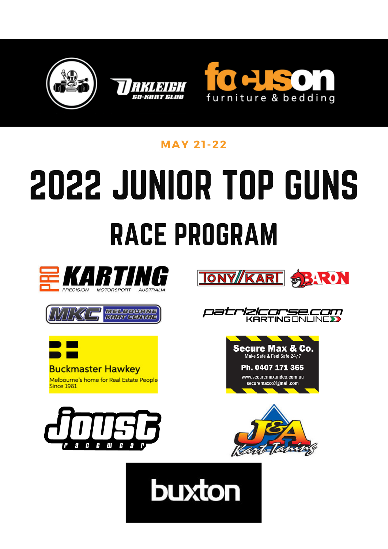





### **MAY 21 -22**

# 2022 JUNIOR TOP GUNS RACE PROGRAM

**buxton** 







Melbourne's home for Real Estate People **Since 1981** 







Ph. 0407 171 365 www.securemaxandco.com.au securemaxco@gmail.com



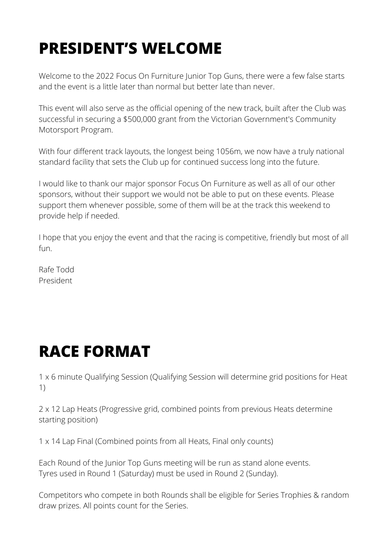## **PRESIDENT'S WELCOME**

Welcome to the 2022 Focus On Furniture Junior Top Guns, there were a few false starts and the event is a little later than normal but better late than never.

This event will also serve as the official opening of the new track, built after the Club was successful in securing a \$500,000 grant from the Victorian Government's Community Motorsport Program.

With four different track layouts, the longest being 1056m, we now have a truly national standard facility that sets the Club up for continued success long into the future.

I would like to thank our major sponsor Focus On Furniture as well as all of our other sponsors, without their support we would not be able to put on these events. Please support them whenever possible, some of them will be at the track this weekend to provide help if needed.

I hope that you enjoy the event and that the racing is competitive, friendly but most of all fun.

Rafe Todd President

### **RACE FORMAT**

1 x 6 minute Qualifying Session (Qualifying Session will determine grid positions for Heat 1)

2 x 12 Lap Heats (Progressive grid, combined points from previous Heats determine starting position)

1 x 14 Lap Final (Combined points from all Heats, Final only counts)

Each Round of the Junior Top Guns meeting will be run as stand alone events. Tyres used in Round 1 (Saturday) must be used in Round 2 (Sunday).

Competitors who compete in both Rounds shall be eligible for Series Trophies & random draw prizes. All points count for the Series.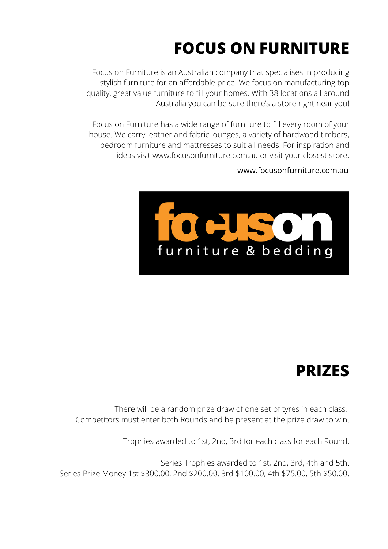## **FOCUS ON FURNITURE**

Focus on Furniture is an Australian company that specialises in producing stylish furniture for an affordable price. We focus on manufacturing top quality, great value furniture to fill your homes. With 38 locations all around Australia you can be sure there's a store right near you!

Focus on Furniture has a wide range of furniture to fill every room of your house. We carry leather and fabric lounges, a variety of hardwood timbers, bedroom furniture and mattresses to suit all needs. For inspiration and ideas visit www.focusonfurniture.com.au or visit your closest store.

### www.focusonfurniture.com.au



### **PRIZES**

There will be a random prize draw of one set of tyres in each class, Competitors must enter both Rounds and be present at the prize draw to win.

Trophies awarded to 1st, 2nd, 3rd for each class for each Round.

Series Trophies awarded to 1st, 2nd, 3rd, 4th and 5th. Series Prize Money 1st \$300.00, 2nd \$200.00, 3rd \$100.00, 4th \$75.00, 5th \$50.00.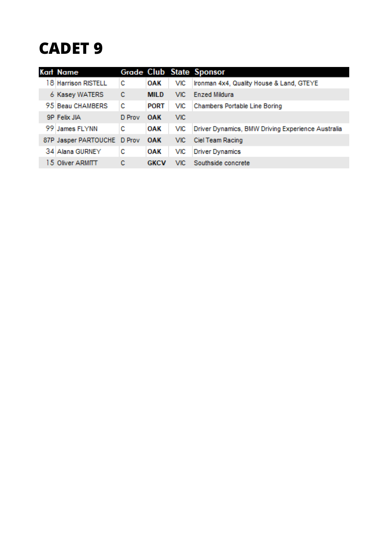### **CADET 9**

| Kart Name                   |        |             |            | Grade Club State Sponsor                          |
|-----------------------------|--------|-------------|------------|---------------------------------------------------|
| 18 Harrison RISTELL         | с      | <b>OAK</b>  | VIC.       | Ironman 4x4, Quality House & Land, GTEYE          |
| 6 Kasey WATERS              | с      | <b>MILD</b> | VIC.       | <b>Enzed Mildura</b>                              |
| 95 Beau CHAMBERS            | с      | <b>PORT</b> | <b>VIC</b> | <b>Chambers Portable Line Boring</b>              |
| 9P Felix JIA                | D Prov | <b>OAK</b>  | <b>VIC</b> |                                                   |
| 99 James FLYNN              | с      | <b>OAK</b>  | <b>VIC</b> | Driver Dynamics, BMW Driving Experience Australia |
| 87P Jasper PARTOUCHE D Prov |        | <b>OAK</b>  | VIC.       | Ciel Team Racing                                  |
| 34 Alana GURNEY             | с      | <b>OAK</b>  | VIC        | <b>Driver Dynamics</b>                            |
| 15 Oliver ARMITT            | с      | <b>GKCV</b> | VIC.       | Southside concrete                                |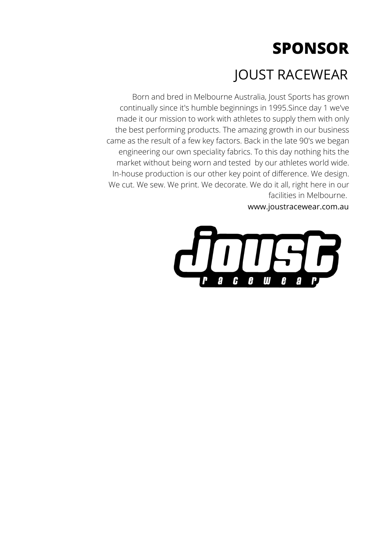### JOUST RACEWEAR

Born and bred in Melbourne Australia, Joust Sports has grown continually since it's humble beginnings in 1995.Since day 1 we've made it our mission to work with athletes to supply them with only the best performing products. The amazing growth in our business came as the result of a few key factors. Back in the late 90's we began engineering our own speciality fabrics. To this day nothing hits the market without being worn and tested by our athletes world wide. In-house production is our other key point of difference. We design. We cut. We sew. We print. We decorate. We do it all, right here in our facilities in Melbourne.

www.joustracewear.com.au

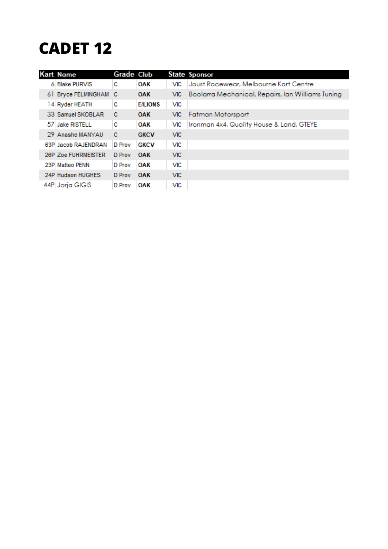### **CADET 12**

| <b>Kart Name</b>    | <b>Grade Club</b> |                |            | <b>State Sponsor</b>                              |
|---------------------|-------------------|----------------|------------|---------------------------------------------------|
| 6 Blake PURVIS      | с                 | <b>OAK</b>     | <b>VIC</b> | Joust Racewear, Melbourne Kart Centre             |
| 61 Bryce FELMINGHAM | - C               | <b>OAK</b>     | VIC.       | Boolarra Mechanical, Repairs, Ian Williams Tuning |
| 14 Ryder HEATH      | с                 | <b>E/LIONS</b> | <b>VIC</b> |                                                   |
| 33 Samuel SKOBLAR   | с                 | <b>OAK</b>     | VIC.       | <b>Fatman Motorsport</b>                          |
| 57 Jake RISTELL     | с                 | OAK            | <b>VIC</b> | Ironman 4x4, Quality House & Land, GTEYE          |
| 29 Anashe MANYAU    | c                 | <b>GKCV</b>    | VIC.       |                                                   |
| 63P Jacob RAJENDRAN | D Prov            | <b>GKCV</b>    | <b>VIC</b> |                                                   |
| 26P Zoe FUHRMEISTER | D Prov            | <b>OAK</b>     | VIC.       |                                                   |
| 23P Matteo PENN     | D Prov            | OAK            | <b>VIC</b> |                                                   |
| 24P Hudson HUGHES   | D Prov            | <b>OAK</b>     | VIC.       |                                                   |
| 44P Jorja GIGIS     | D Prov            | <b>OAK</b>     | <b>VIC</b> |                                                   |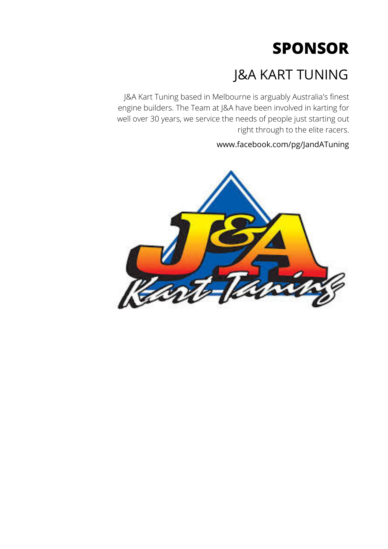### J&A KART TUNING

J&A Kart Tuning based in Melbourne is arguably Australia's finest engine builders. The Team at J&A have been involved in karting for well over 30 years, we service the needs of people just starting out right through to the elite racers.

www.facebook.com/pg/JandATuning

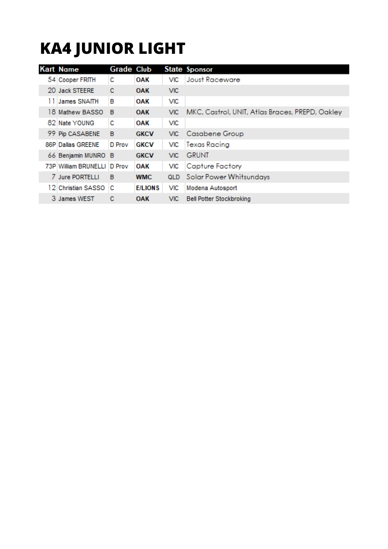## **KA4 JUNIOR LIGHT**

| <b>Kart Name</b>     | <b>Grade Club</b> |                |            | <b>State Sponsor</b>                            |
|----------------------|-------------------|----------------|------------|-------------------------------------------------|
| 54 Cooper FRITH      | с                 | <b>OAK</b>     | <b>VIC</b> | Joust Raceware                                  |
| 20 Jack STEERE       | c                 | <b>OAK</b>     | <b>VIC</b> |                                                 |
| 11 James SNAITH      | в                 | <b>OAK</b>     | <b>VIC</b> |                                                 |
| 18 Mathew BASSO      | B                 | <b>OAK</b>     | <b>VIC</b> | MKC, Castrol, UNIT, Atlas Braces, PREPD, Oakley |
| 82 Nate YOUNG        | с                 | <b>OAK</b>     | <b>VIC</b> |                                                 |
| 99 Pip CASABENE      | B                 | <b>GKCV</b>    | <b>VIC</b> | Casabene Group                                  |
| 86P Dallas GREENE    | D Prov            | <b>GKCV</b>    | <b>VIC</b> | <b>Texas Racing</b>                             |
| 66 Benjamin MUNRO B  |                   | <b>GKCV</b>    | <b>VIC</b> | <b>GRUNT</b>                                    |
| 73P William BRUNELLI | D Prov            | OAK            | VIC        | <b>Capture Factory</b>                          |
| 7 Jure PORTELLI      | B                 | <b>WMC</b>     | QLD        | <b>Solar Power Whitsundays</b>                  |
| 12 Christian SASSO   | с                 | <b>E/LIONS</b> | <b>VIC</b> | Modena Autosport                                |
| 3 James WEST         | с                 | <b>OAK</b>     | VIC.       | <b>Bell Potter Stockbroking</b>                 |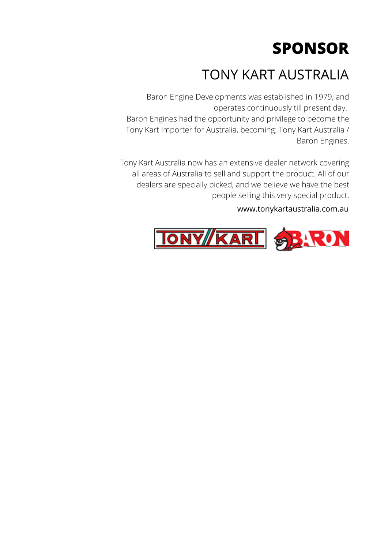### TONY KART AUSTRALIA

Baron Engine Developments was established in 1979, and operates continuously till present day. Baron Engines had the opportunity and privilege to become the Tony Kart Importer for Australia, becoming: Tony Kart Australia / Baron Engines.

Tony Kart Australia now has an extensive dealer network covering all areas of Australia to sell and support the product. All of our dealers are specially picked, and we believe we have the best people selling this very special product.

### www.tonykartaustralia.com.au

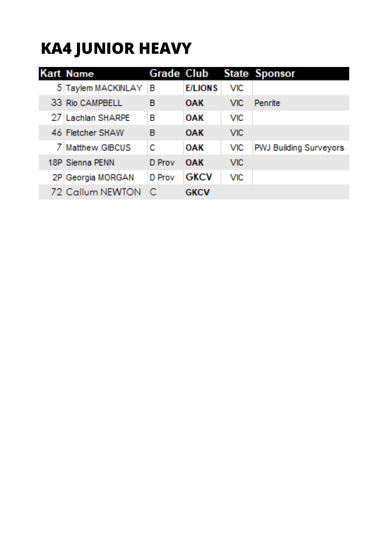## **KA4 JUNIOR HEAVY**

| <b>Kart Nome</b>   |        |                |            | <b>Grade Club State Sponsor</b> |
|--------------------|--------|----------------|------------|---------------------------------|
| 5 Taylem MACKINLAY | В      | <b>E/LIONS</b> | <b>MC</b>  |                                 |
| 33 Rio CAMPBELL    | B      | <b>OAK</b>     | VIC:       | Penrite                         |
| 27 Lachlan SHARPE  | П      | <b>OAK</b>     | <b>MC</b>  |                                 |
| 46 Fletcher SHAW   | П      | <b>OAK</b>     | <b>MC</b>  |                                 |
| 7 Matthew GIBCUS   | c      | OAK            | MC.        | <b>PWJ Building Surveyors</b>   |
| 18P Sienna PENN    | D Prov | OAK            | <b>MC</b>  |                                 |
| 2P Georgia MORGAN  | D Prov | <b>GKCV</b>    | <b>VIC</b> |                                 |
| 72 Callum NEWTON   | - 0    | <b>GKCV</b>    |            |                                 |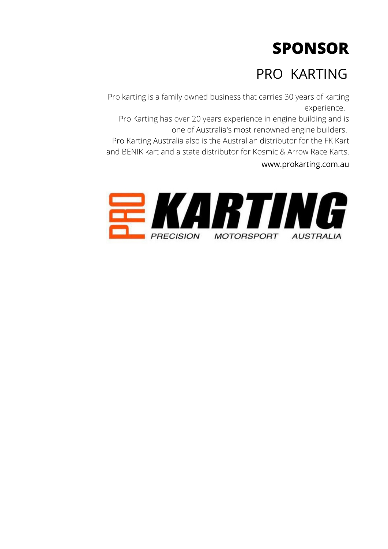### PRO KARTING

Pro karting is a family owned business that carries 30 years of karting experience.

Pro Karting has over 20 years experience in engine building and is one of Australia's most renowned engine builders.

Pro Karting Australia also is the Australian distributor for the FK Kart and BENIK kart and a state distributor for Kosmic & Arrow Race Karts. www.prokarting.com.au

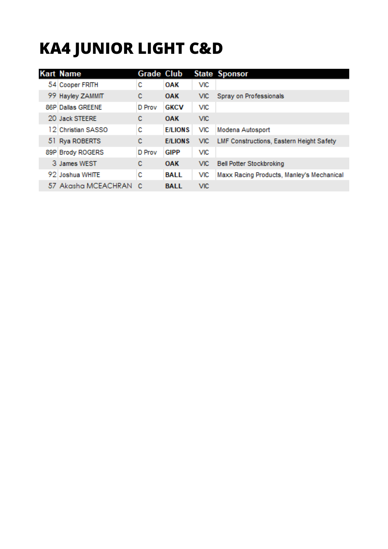## **KA4 JUNIOR LIGHT C&D**

| <b>Kart Name</b>    | <b>Grade Club</b> |                |            | <b>State Sponsor</b>                      |
|---------------------|-------------------|----------------|------------|-------------------------------------------|
| 54 Cooper FRITH     | с                 | <b>OAK</b>     | <b>VIC</b> |                                           |
| 99 Hayley ZAMMIT    | с                 | <b>OAK</b>     | VIC.       | Spray on Professionals                    |
| 86P Dallas GREENE   | D Prov            | <b>GKCV</b>    | VIC        |                                           |
| 20 Jack STEERE      | c                 | <b>OAK</b>     | <b>VIC</b> |                                           |
| 12 Christian SASSO  | с                 | <b>E/LIONS</b> | VIC        | Modena Autosport                          |
| 51 Rya ROBERTS      | с                 | <b>E/LIONS</b> | VIC.       | LMF Constructions, Eastern Height Safety  |
| 89P Brody ROGERS    | D Prov            | <b>GIPP</b>    | <b>VIC</b> |                                           |
| 3 James WEST        | с                 | <b>OAK</b>     | VIC.       | <b>Bell Potter Stockbroking</b>           |
| 92 Joshua WHITE     | с                 | <b>BALL</b>    | VIC.       | Maxx Racing Products, Manley's Mechanical |
| 57 Akasha MCEACHRAN | C                 | <b>BALL</b>    | <b>VIC</b> |                                           |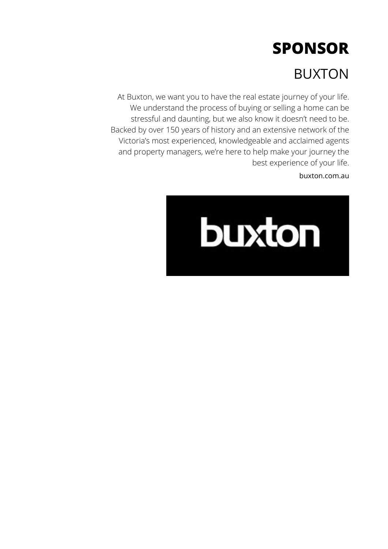### BUXTON

At Buxton, we want you to have the real estate journey of your life. We understand the process of buying or selling a home can be stressful and daunting, but we also know it doesn't need to be. Backed by over 150 years of history and an extensive network of the Victoria's most experienced, knowledgeable and acclaimed agents and property managers, we're here to help make your journey the best experience of your life.

buxton.com.au

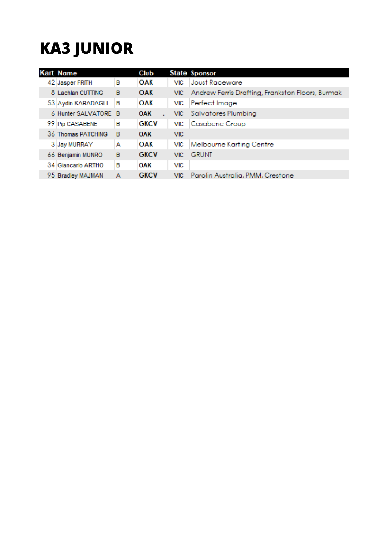## **KA3 JUNIOR**

| <b>Kart Name</b>     |   | <b>Club</b> |            | State Sponsor                                    |
|----------------------|---|-------------|------------|--------------------------------------------------|
| 42 Jasper FRITH      | в | <b>OAK</b>  | <b>VIC</b> | Joust Raceware                                   |
| 8 Lachlan CUTTING    | в | <b>OAK</b>  | VIC.       | Andrew Ferris Drafting, Frankston Floors, Burmak |
| 53 Aydin KARADAGLI   | в | OAK         | <b>VIC</b> | Perfect Image                                    |
| 6 Hunter SALVATORE B |   | <b>OAK</b>  |            | VIC Salvatores Plumbing                          |
| 99 Pip CASABENE      | в | <b>GKCV</b> | <b>VIC</b> | Casabene Group                                   |
| 36 Thomas PATCHING   | в | <b>OAK</b>  | <b>VIC</b> |                                                  |
| 3 Jay MURRAY         | А | <b>OAK</b>  | <b>VIC</b> | Melbourne Karting Centre                         |
| 66 Benjamin MUNRO    | в | <b>GKCV</b> | VIC.       | <b>GRUNT</b>                                     |
| 34 Giancarlo ARTHO   | в | <b>OAK</b>  | VIC        |                                                  |
| 95 Bradley MAJMAN    | А | <b>GKCV</b> | VIC.       | Parolin Australia, PMM, Crestone                 |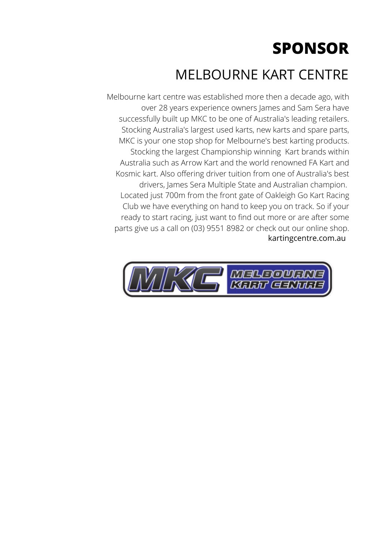### MELBOURNE KART CENTRE

Melbourne kart centre was established more then a decade ago, with over 28 years experience owners James and Sam Sera have successfully built up MKC to be one of Australia's leading retailers. Stocking Australia's largest used karts, new karts and spare parts, MKC is your one stop shop for Melbourne's best karting products. Stocking the largest Championship winning Kart brands within Australia such as Arrow Kart and the world renowned FA Kart and Kosmic kart. Also offering driver tuition from one of Australia's best drivers, James Sera Multiple State and Australian champion. Located just 700m from the front gate of Oakleigh Go Kart Racing Club we have everything on hand to keep you on track. So if your ready to start racing, just want to find out more or are after some parts give us a call on (03) 9551 8982 or check out our online shop. kartingcentre.com.au

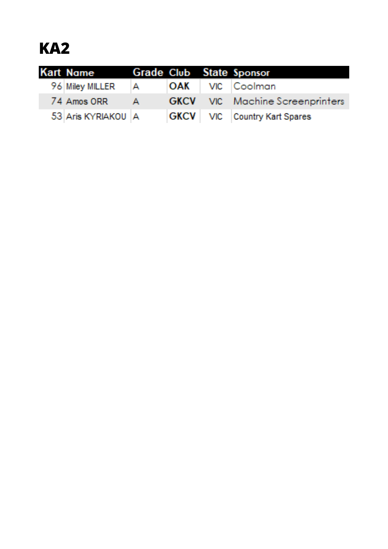### **KA2**

|  | Kart Name          |              |  | Grade Club State Sponsor                |
|--|--------------------|--------------|--|-----------------------------------------|
|  | 96 Miley MILLER    | $\mathsf{A}$ |  | <b>OAK</b>   VIC   Coolman              |
|  | 74 Amos ORR        | $ A$ $-$     |  | <b>GKCV</b> VIC Machine Screenprinters  |
|  | 53 Aris KYRIAKOU A |              |  | <b>GKCV</b>   VIC   Country Kart Spares |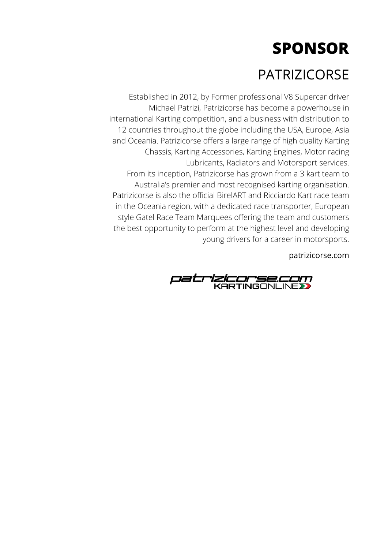### PATRIZICORSE

Established in 2012, by Former professional V8 Supercar driver Michael Patrizi, Patrizicorse has become a powerhouse in international Karting competition, and a business with distribution to 12 countries throughout the globe including the USA, Europe, Asia and Oceania. Patrizicorse offers a large range of high quality Karting Chassis, Karting Accessories, Karting Engines, Motor racing Lubricants, Radiators and Motorsport services. From its inception, Patrizicorse has grown from a 3 kart team to Australia's premier and most recognised karting organisation. Patrizicorse is also the official BirelART and Ricciardo Kart race team in the Oceania region, with a dedicated race transporter, European style Gatel Race Team Marquees offering the team and customers the best opportunity to perform at the highest level and developing young drivers for a career in motorsports.

patrizicorse.com

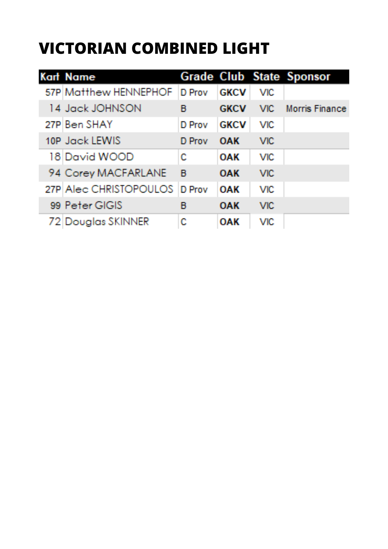### **VICTORIAN COMBINED LIGHT**

| <b>Kart Name</b>              |        |             |            | <b>Grade Club State Sponsor</b> |
|-------------------------------|--------|-------------|------------|---------------------------------|
| 57P Matthew HENNEPHOF         | D Prov | <b>GKCV</b> | <b>VIC</b> |                                 |
| 14 Jack JOHNSON               | в      | <b>GKCV</b> |            | VIC Morris Finance              |
| 27P Ben SHAY                  | D Prov | <b>GKCV</b> | <b>VIC</b> |                                 |
| 10P Jack LEWIS                | D Prov | -OAK        | <b>MC</b>  |                                 |
| 18 David WOOD                 | Ċ      | <b>OAK</b>  | MC.        |                                 |
| 94 Corey MACFARLANE           | - B    | <b>OAK</b>  | <b>MC</b>  |                                 |
| 27P Alec CHRISTOPOULOS D Prov |        | OAK         | <b>VIC</b> |                                 |
| 99 Peter GIGIS                | В      | <b>OAK</b>  | <b>MC</b>  |                                 |
| 72 Douglas SKINNER            | C      | <b>OAK</b>  | VK:        |                                 |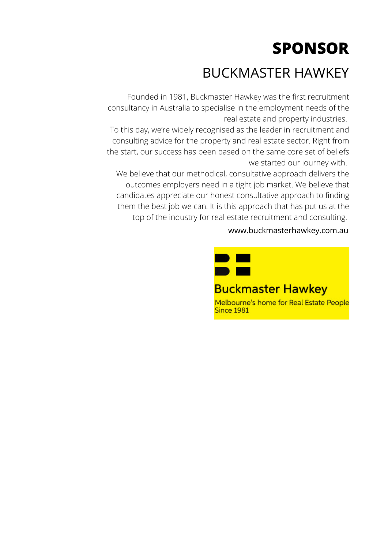### BUCKMASTER HAWKEY

Founded in 1981, Buckmaster Hawkey was the first recruitment consultancy in Australia to specialise in the employment needs of the real estate and property industries.

To this day, we're widely recognised as the leader in recruitment and consulting advice for the property and real estate sector. Right from the start, our success has been based on the same core set of beliefs we started our journey with.

We believe that our methodical, consultative approach delivers the outcomes employers need in a tight job market. We believe that candidates appreciate our honest consultative approach to finding them the best job we can. It is this approach that has put us at the top of the industry for real estate recruitment and consulting.

#### www.buckmasterhawkey.com.au

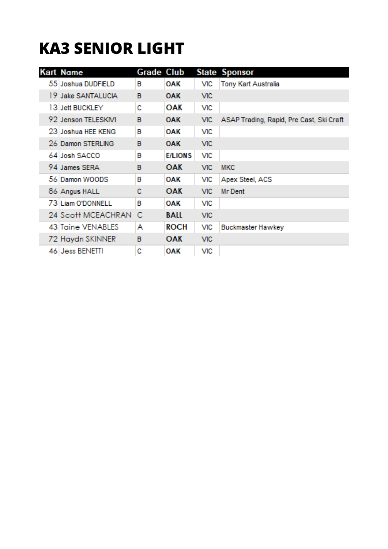### **KA3 SENIOR LIGHT**

| <b>Kart Name</b>    | <b>Grade Club</b> |                |            | <b>State Sponsor</b>                     |
|---------------------|-------------------|----------------|------------|------------------------------------------|
| 55 Joshua DUDFIELD  | в                 | OAK            | VIC        | Tony Kart Australia                      |
| 19 Jake SANTALUCIA  | в                 | <b>OAK</b>     | <b>VIC</b> |                                          |
| 13 Jett BUCKLEY     | с                 | OAK            | <b>VIC</b> |                                          |
| 92 Jenson TELESKIVI | в                 | <b>OAK</b>     | <b>VIC</b> | ASAP Trading, Rapid, Pre Cast, Ski Craft |
| 23 Joshua HEE KENG  | в                 | OAK            | <b>VIC</b> |                                          |
| 26 Damon STERLING   | в                 | <b>OAK</b>     | <b>VIC</b> |                                          |
| 64 Josh SACCO       | в                 | <b>E/LIONS</b> | <b>VIC</b> |                                          |
| 94 James SERA       | в                 | <b>OAK</b>     | <b>VIC</b> | <b>MKC</b>                               |
| 56 Damon WOODS      | в                 | OAK            | VIC        | Apex Steel, ACS                          |
| 86 Angus HALL       | c                 | <b>OAK</b>     | <b>VIC</b> | Mr Dent                                  |
| 73 Liam O'DONNELL   | в                 | <b>OAK</b>     | <b>VIC</b> |                                          |
| 24 Scott MCEACHRAN  | C                 | <b>BALL</b>    | <b>VIC</b> |                                          |
| 43 Taine VENABLES   | A                 | <b>ROCH</b>    | <b>VIC</b> | <b>Buckmaster Hawkey</b>                 |
| 72 Haydn SKINNER    | в                 | <b>OAK</b>     | <b>VIC</b> |                                          |
| 46 Jess BENETTI     | c                 | <b>OAK</b>     | <b>VIC</b> |                                          |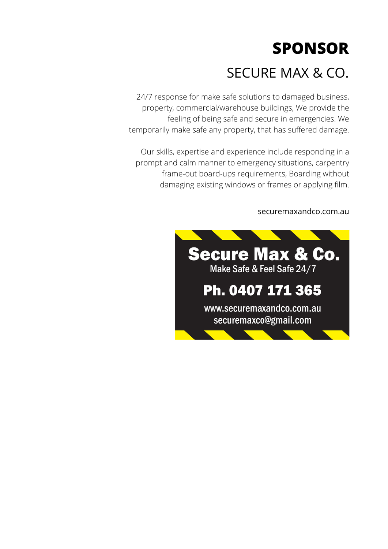### SECURE MAX & CO.

24/7 response for make safe solutions to damaged business, property, commercial/warehouse buildings, We provide the feeling of being safe and secure in emergencies. We temporarily make safe any property, that has suffered damage.

Our skills, expertise and experience include responding in a prompt and calm manner to emergency situations, carpentry frame-out board-ups requirements, Boarding without damaging existing windows or frames or applying film.

### securemaxandco.com.au

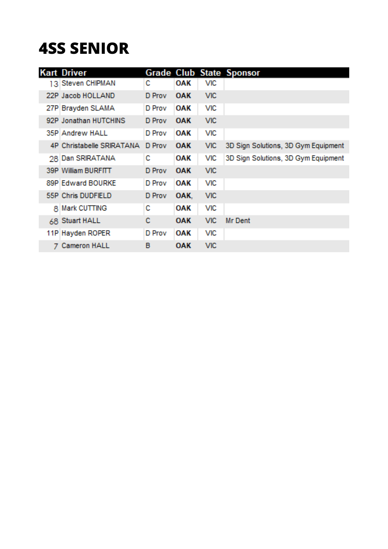### **4SS SENIOR**

|   | <b>Kart Driver</b>        |        |            |            | <b>Grade Club State Sponsor</b>     |
|---|---------------------------|--------|------------|------------|-------------------------------------|
|   | 13 Steven CHIPMAN         | с      | OAK        | <b>VIC</b> |                                     |
|   | 22P Jacob HOLLAND         | D Prov | <b>OAK</b> | <b>VIC</b> |                                     |
|   | 27P Brayden SLAMA         | D Prov | <b>OAK</b> | <b>VIC</b> |                                     |
|   | 92P Jonathan HUTCHINS     | D Prov | <b>OAK</b> | <b>VIC</b> |                                     |
|   | 35P Andrew HALL           | D Prov | <b>OAK</b> | <b>VIC</b> |                                     |
|   | 4P Christabelle SRIRATANA | D Prov | <b>OAK</b> | <b>VIC</b> | 3D Sign Solutions, 3D Gym Equipment |
|   | 28 Dan SRIRATANA          | с      | <b>OAK</b> | <b>VIC</b> | 3D Sign Solutions, 3D Gym Equipment |
|   | 39P William BURFITT       | D Prov | <b>OAK</b> | <b>VIC</b> |                                     |
|   | 89P Edward BOURKE         | D Prov | <b>OAK</b> | <b>VIC</b> |                                     |
|   | 55P Chris DUDFIELD        | D Prov | OAK.       | <b>VIC</b> |                                     |
| 8 | Mark CUTTING              | с      | OAK        | VIC        |                                     |
|   | 68 Stuart HALL            | с      | <b>OAK</b> | <b>VIC</b> | Mr Dent                             |
|   | 11P Hayden ROPER          | D Prov | <b>OAK</b> | <b>VIC</b> |                                     |
|   | Cameron HALL              | в      | <b>OAK</b> | <b>VIC</b> |                                     |